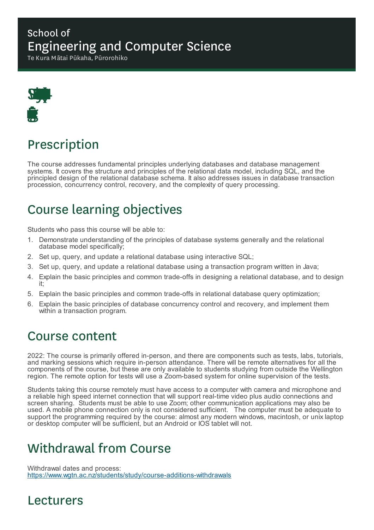#### School of Engineering and Computer Science

Te Kura Mātai Pūkaha, Pūrorohiko



# Prescription

The course addresses fundamental principles underlying databases and database management systems. It covers the structure and principles of the relational data model, including SQL, and the principled design of the relational database schema. It also addresses issues in database transaction procession, concurrency control, recovery, and the complexity of query processing.

# Course learning objectives

Students who pass this course will be able to:

- 1. Demonstrate understanding of the principles of database systems generally and the relational database model specifically;
- 2. Set up, query, and update a relational database using interactive SQL;
- 3. Set up, query, and update a relational database using a transaction program written in Java;
- 4. Explain the basic principles and common trade-offs in designing a relational database, and to design it;
- 5. Explain the basic principles and common trade-offs in relational database query optimization;
- 6. Explain the basic principles of database concurrency control and recovery, and implement them within a transaction program.

#### Course content

2022: The course is primarily offered in-person, and there are components such as tests, labs, tutorials, and marking sessions which require in-person attendance. There will be remote alternatives for all the components of the course, but these are only available to students studying from outside the Wellington region. The remote option for tests will use a Zoom-based system for online supervision of the tests.

Students taking this course remotely must have access to a computer with camera and microphone and a reliable high speed internet connection that will support real-time video plus audio connections and screen sharing. Students must be able to use Zoom; other communication applications may also be used. A mobile phone connection only is not considered sufficient. The computer must be adequate to support the programming required by the course: almost any modern windows, macintosh, or unix laptop or desktop computer will be sufficient, but an Android or IOS tablet will not.

## Withdrawal from Course

Withdrawal dates and process: https://www.wgtn.ac.nz/students/study/course-additions-withdrawals

#### Lecturers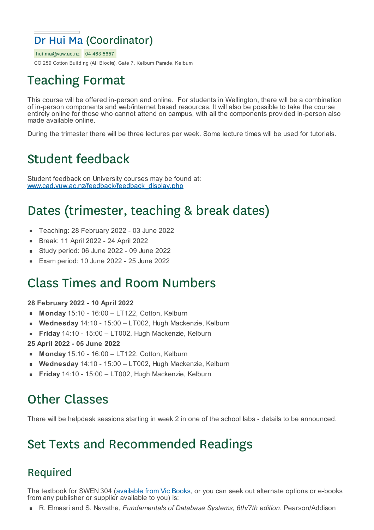#### Dr Hui Ma (Coordinator)

hui.ma@vuw.ac.nz 04 463 5657 CO 259 Cotton Building (All Blocks), Gate 7, Kelburn Parade, Kelburn

# Teaching Format

This course will be offered in-person and online. For students in Wellington, there will be a combination of in-person components and web/internet based resources. It will also be possible to take the course entirely online for those who cannot attend on campus, with all the components provided in-person also made available online.

During the trimester there will be three lectures per week. Some lecture times will be used for tutorials.

# Student feedback

Student feedback on University courses may be found at: www.cad.vuw.ac.nz/feedback/feedback\_display.php

# Dates (trimester, teaching & break dates)

- Teaching: 28 February 2022 03 June 2022  $\blacksquare$
- Break: 11 April 2022 24 April 2022  $\blacksquare$
- Study period: 06 June 2022 09 June 2022
- Exam period: 10 June 2022 25 June 2022

### Class Times and Room Numbers

#### **28 February 2022 - 10 April 2022**

- **Monday** 15:10 16:00 LT122, Cotton, Kelburn
- **Wednesday** 14:10 15:00 LT002, Hugh Mackenzie, Kelburn
- **Friday** 14:10 15:00 LT002, Hugh Mackenzie, Kelburn
- **25 April 2022 - 05 June 2022**
- **Monday** 15:10 16:00 LT122, Cotton, Kelburn
- **Wednesday** 14:10 15:00 LT002, Hugh Mackenzie, Kelburn
- **Friday** 14:10 15:00 LT002, Hugh Mackenzie, Kelburn

## Other Classes

There will be helpdesk sessions starting in week 2 in one of the school labs - details to be announced.

## Set Texts and Recommended Readings

#### Required

The textbook for SWEN 304 (available from Vic Books, or you can seek out alternate options or e-books from any publisher or supplier available to you) is:

R. Elmasri and S. Navathe, *Fundamentals of Database Systems; 6th/7th edition*, Pearson/Addison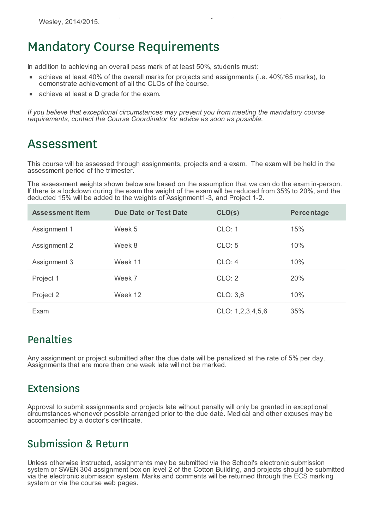#### Mandatory Course Requirements

In addition to achieving an overall pass mark of at least 50%, students must:

- achieve at least 40% of the overall marks for projects and assignments (i.e. 40%\*65 marks), to demonstrate achievement of all the CLOs of the course.
- achieve at least a **D** grade for the exam.

*If you believe that exceptional circumstances may prevent you from meeting the mandatory course requirements, contact the Course Coordinator for advice as soon as possible.*

#### Assessment

This course will be assessed through assignments, projects and a exam. The exam will be held in the assessment period of the trimester.

The assessment weights shown below are based on the assumption that we can do the exam in-person. If there is a lockdown during the exam the weight of the exam will be reduced from 35% to 20%, and the deducted 15% will be added to the weights of Assignment1-3, and Project 1-2.

| <b>Assessment Item</b> | Due Date or Test Date | CLO(s)           | <b>Percentage</b> |
|------------------------|-----------------------|------------------|-------------------|
| Assignment 1           | Week 5                | CLO: 1           | 15%               |
| Assignment 2           | Week 8                | CLO: 5           | 10%               |
| Assignment 3           | Week 11               | CLO: 4           | 10%               |
| Project 1              | Week 7                | CLO: 2           | 20%               |
| Project 2              | Week 12               | CLO: 3,6         | 10%               |
| Exam                   |                       | CLO: 1,2,3,4,5,6 | 35%               |

#### Penalties

Any assignment or project submitted after the due date will be penalized at the rate of 5% per day. Assignments that are more than one week late will not be marked.

#### Extensions

Approval to submit assignments and projects late without penalty will only be granted in exceptional circumstances whenever possible arranged prior to the due date. Medical and other excuses may be accompanied by a doctor's certificate.

#### Submission & Return

Unless otherwise instructed, assignments may be submitted via the School's electronic submission system or SWEN 304 assignment box on level 2 of the Cotton Building, and projects should be submitted via the electronic submission system. Marks and comments will be returned through the ECS marking system or via the course web pages.